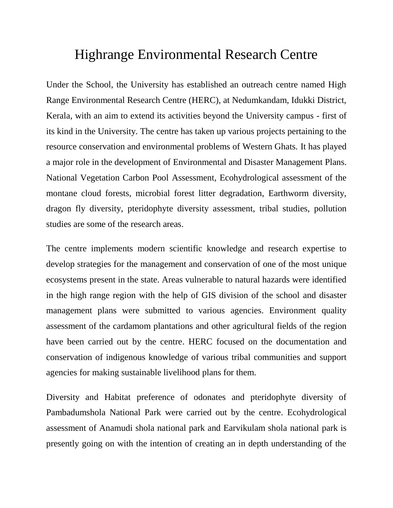## Highrange Environmental Research Centre

Under the School, the University has established an outreach centre named High Range Environmental Research Centre (HERC), at Nedumkandam, Idukki District, Kerala, with an aim to extend its activities beyond the University campus - first of its kind in the University. The centre has taken up various projects pertaining to the resource conservation and environmental problems of Western Ghats. It has played a major role in the development of Environmental and Disaster Management Plans. National Vegetation Carbon Pool Assessment, Ecohydrological assessment of the montane cloud forests, microbial forest litter degradation, Earthworm diversity, dragon fly diversity, pteridophyte diversity assessment, tribal studies, pollution studies are some of the research areas.

The centre implements modern scientific knowledge and research expertise to develop strategies for the management and conservation of one of the most unique ecosystems present in the state. Areas vulnerable to natural hazards were identified in the high range region with the help of GIS division of the school and disaster management plans were submitted to various agencies. Environment quality assessment of the cardamom plantations and other agricultural fields of the region have been carried out by the centre. HERC focused on the documentation and conservation of indigenous knowledge of various tribal communities and support agencies for making sustainable livelihood plans for them.

Diversity and Habitat preference of odonates and pteridophyte diversity of Pambadumshola National Park were carried out by the centre. Ecohydrological assessment of Anamudi shola national park and Earvikulam shola national park is presently going on with the intention of creating an in depth understanding of the